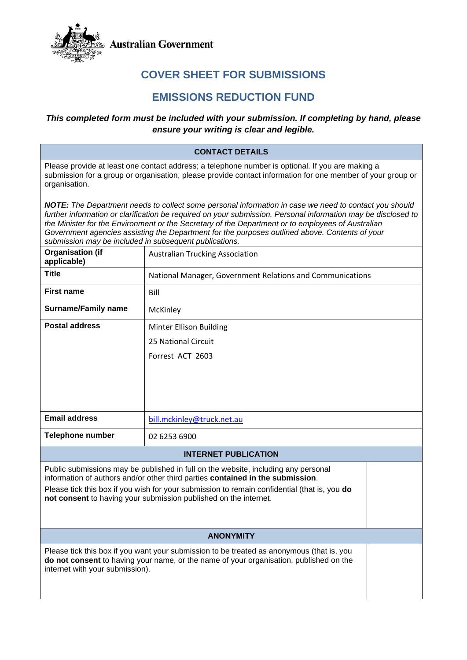

**Australian Government** 

# **COVER SHEET FOR SUBMISSIONS**

# **EMISSIONS REDUCTION FUND**

## *This completed form must be included with your submission. If completing by hand, please ensure your writing is clear and legible.*

#### **CONTACT DETAILS**

Please provide at least one contact address; a telephone number is optional. If you are making a submission for a group or organisation, please provide contact information for one member of your group or organisation.

*NOTE: The Department needs to collect some personal information in case we need to contact you should further information or clarification be required on your submission. Personal information may be disclosed to the Minister for the Environment or the Secretary of the Department or to employees of Australian Government agencies assisting the Department for the purposes outlined above. Contents of your submission may be included in subsequent publications.* 

| <b>Organisation (if</b><br>applicable)                                                                                                                                                                                                                                                                                                   | <b>Australian Trucking Association</b>                    |  |
|------------------------------------------------------------------------------------------------------------------------------------------------------------------------------------------------------------------------------------------------------------------------------------------------------------------------------------------|-----------------------------------------------------------|--|
| <b>Title</b>                                                                                                                                                                                                                                                                                                                             | National Manager, Government Relations and Communications |  |
| <b>First name</b>                                                                                                                                                                                                                                                                                                                        | Bill                                                      |  |
| <b>Surname/Family name</b>                                                                                                                                                                                                                                                                                                               | McKinley                                                  |  |
| <b>Postal address</b>                                                                                                                                                                                                                                                                                                                    | <b>Minter Ellison Building</b>                            |  |
|                                                                                                                                                                                                                                                                                                                                          | 25 National Circuit                                       |  |
|                                                                                                                                                                                                                                                                                                                                          | Forrest ACT 2603                                          |  |
|                                                                                                                                                                                                                                                                                                                                          |                                                           |  |
|                                                                                                                                                                                                                                                                                                                                          |                                                           |  |
|                                                                                                                                                                                                                                                                                                                                          |                                                           |  |
|                                                                                                                                                                                                                                                                                                                                          |                                                           |  |
| <b>Email address</b>                                                                                                                                                                                                                                                                                                                     | bill.mckinley@truck.net.au                                |  |
| <b>Telephone number</b>                                                                                                                                                                                                                                                                                                                  | 02 6253 6900                                              |  |
| <b>INTERNET PUBLICATION</b>                                                                                                                                                                                                                                                                                                              |                                                           |  |
| Public submissions may be published in full on the website, including any personal<br>information of authors and/or other third parties contained in the submission.<br>Please tick this box if you wish for your submission to remain confidential (that is, you do<br>not consent to having your submission published on the internet. |                                                           |  |
|                                                                                                                                                                                                                                                                                                                                          |                                                           |  |
| <b>ANONYMITY</b>                                                                                                                                                                                                                                                                                                                         |                                                           |  |
| Please tick this box if you want your submission to be treated as anonymous (that is, you<br>do not consent to having your name, or the name of your organisation, published on the<br>internet with your submission).                                                                                                                   |                                                           |  |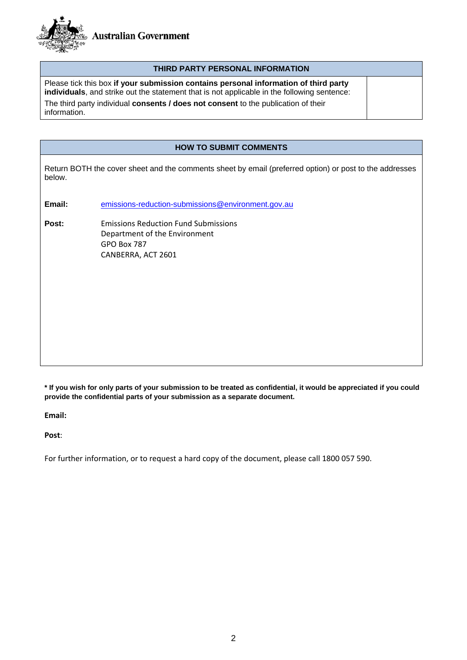

#### **THIRD PARTY PERSONAL INFORMATION**

Please tick this box **if your submission contains personal information of third party individuals**, and strike out the statement that is not applicable in the following sentence: The third party individual **consents / does not consent** to the publication of their The third party individual **consents / does not consent** to the publication of their<br>information.

#### **HOW TO SUBMIT COMMENTS**

Return BOTH the cover sheet and the comments sheet by email (preferred option) or post to the addresses below.

**Email:** [emissions-reduction-submissions@environment.gov.au](mailto:emissions-reduction-submissions@environment.gov.au)

**Post:** Emissions Reduction Fund Submissions Department of the Environment GPO Box 787 CANBERRA, ACT 2601

**\* If you wish for only parts of your submission to be treated as confidential, it would be appreciated if you could provide the confidential parts of your submission as a separate document.** 

**Email:** 

**Post**:

For further information, or to request a hard copy of the document, please call 1800 057 590.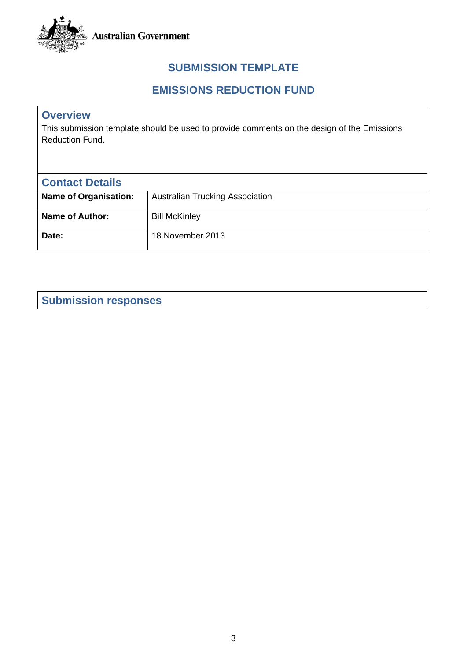

# **SUBMISSION TEMPLATE**

# **EMISSIONS REDUCTION FUND**

# **Overview**

This submission template should be used to provide comments on the design of the Emissions Reduction Fund.

| <b>Contact Details</b>       |                                        |
|------------------------------|----------------------------------------|
| <b>Name of Organisation:</b> | <b>Australian Trucking Association</b> |
| Name of Author:              | <b>Bill McKinley</b>                   |
| Date:                        | 18 November 2013                       |

# **Submission responses**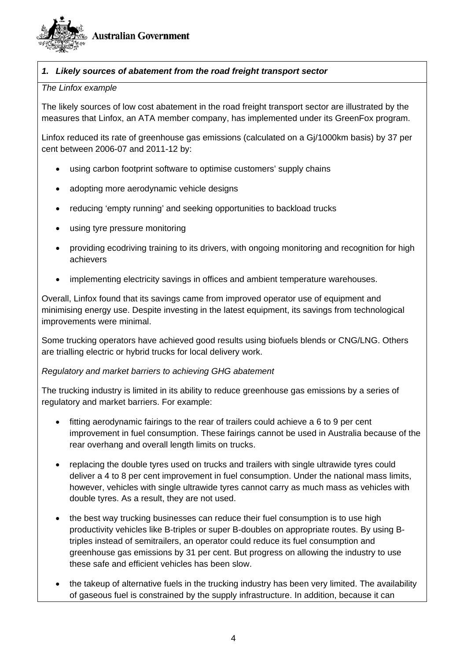

## *1. Likely sources of abatement from the road freight transport sector*

#### *The Linfox example*

The likely sources of low cost abatement in the road freight transport sector are illustrated by the measures that Linfox, an ATA member company, has implemented under its GreenFox program.

Linfox reduced its rate of greenhouse gas emissions (calculated on a Gj/1000km basis) by 37 per cent between 2006-07 and 2011-12 by:

- using carbon footprint software to optimise customers' supply chains
- adopting more aerodynamic vehicle designs
- reducing 'empty running' and seeking opportunities to backload trucks
- using tyre pressure monitoring
- providing ecodriving training to its drivers, with ongoing monitoring and recognition for high achievers
- implementing electricity savings in offices and ambient temperature warehouses.

Overall, Linfox found that its savings came from improved operator use of equipment and minimising energy use. Despite investing in the latest equipment, its savings from technological improvements were minimal.

Some trucking operators have achieved good results using biofuels blends or CNG/LNG. Others are trialling electric or hybrid trucks for local delivery work.

#### *Regulatory and market barriers to achieving GHG abatement*

The trucking industry is limited in its ability to reduce greenhouse gas emissions by a series of regulatory and market barriers. For example:

- fitting aerodynamic fairings to the rear of trailers could achieve a 6 to 9 per cent improvement in fuel consumption. These fairings cannot be used in Australia because of the rear overhang and overall length limits on trucks.
- replacing the double tyres used on trucks and trailers with single ultrawide tyres could deliver a 4 to 8 per cent improvement in fuel consumption. Under the national mass limits, however, vehicles with single ultrawide tyres cannot carry as much mass as vehicles with double tyres. As a result, they are not used.
- the best way trucking businesses can reduce their fuel consumption is to use high productivity vehicles like B-triples or super B-doubles on appropriate routes. By using Btriples instead of semitrailers, an operator could reduce its fuel consumption and greenhouse gas emissions by 31 per cent. But progress on allowing the industry to use these safe and efficient vehicles has been slow.
- the takeup of alternative fuels in the trucking industry has been very limited. The availability of gaseous fuel is constrained by the supply infrastructure. In addition, because it can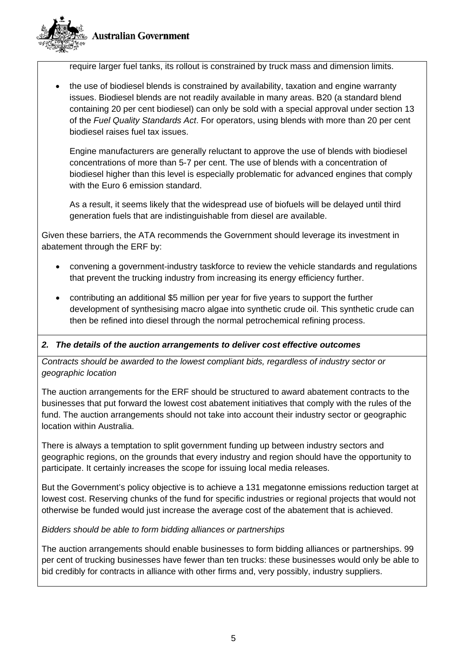



require larger fuel tanks, its rollout is constrained by truck mass and dimension limits.

• the use of biodiesel blends is constrained by availability, taxation and engine warranty issues. Biodiesel blends are not readily available in many areas. B20 (a standard blend containing 20 per cent biodiesel) can only be sold with a special approval under section 13 of the *Fuel Quality Standards Act*. For operators, using blends with more than 20 per cent biodiesel raises fuel tax issues.

Engine manufacturers are generally reluctant to approve the use of blends with biodiesel concentrations of more than 5-7 per cent. The use of blends with a concentration of biodiesel higher than this level is especially problematic for advanced engines that comply with the Euro 6 emission standard.

As a result, it seems likely that the widespread use of biofuels will be delayed until third generation fuels that are indistinguishable from diesel are available.

Given these barriers, the ATA recommends the Government should leverage its investment in abatement through the ERF by:

- convening a government-industry taskforce to review the vehicle standards and regulations that prevent the trucking industry from increasing its energy efficiency further.
- contributing an additional \$5 million per year for five years to support the further development of synthesising macro algae into synthetic crude oil. This synthetic crude can then be refined into diesel through the normal petrochemical refining process.

### *2. The details of the auction arrangements to deliver cost effective outcomes*

*Contracts should be awarded to the lowest compliant bids, regardless of industry sector or geographic location* 

The auction arrangements for the ERF should be structured to award abatement contracts to the businesses that put forward the lowest cost abatement initiatives that comply with the rules of the fund. The auction arrangements should not take into account their industry sector or geographic location within Australia.

There is always a temptation to split government funding up between industry sectors and geographic regions, on the grounds that every industry and region should have the opportunity to participate. It certainly increases the scope for issuing local media releases.

But the Government's policy objective is to achieve a 131 megatonne emissions reduction target at lowest cost. Reserving chunks of the fund for specific industries or regional projects that would not otherwise be funded would just increase the average cost of the abatement that is achieved.

### *Bidders should be able to form bidding alliances or partnerships*

The auction arrangements should enable businesses to form bidding alliances or partnerships. 99 per cent of trucking businesses have fewer than ten trucks: these businesses would only be able to bid credibly for contracts in alliance with other firms and, very possibly, industry suppliers.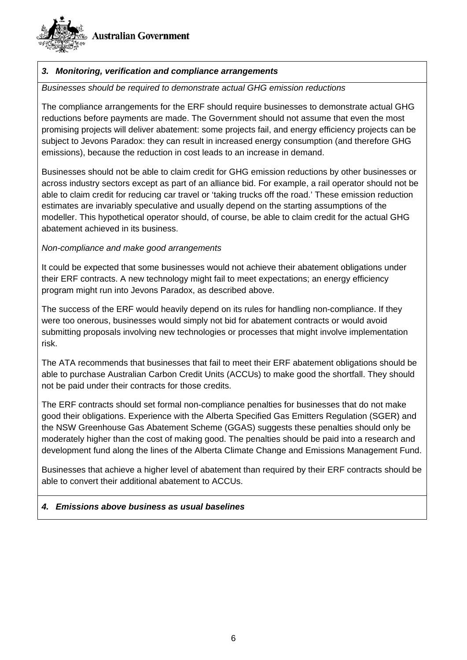



## *3. Monitoring, verification and compliance arrangements*

#### *Businesses should be required to demonstrate actual GHG emission reductions*

The compliance arrangements for the ERF should require businesses to demonstrate actual GHG reductions before payments are made. The Government should not assume that even the most promising projects will deliver abatement: some projects fail, and energy efficiency projects can be subject to Jevons Paradox: they can result in increased energy consumption (and therefore GHG emissions), because the reduction in cost leads to an increase in demand.

Businesses should not be able to claim credit for GHG emission reductions by other businesses or across industry sectors except as part of an alliance bid. For example, a rail operator should not be able to claim credit for reducing car travel or 'taking trucks off the road.' These emission reduction estimates are invariably speculative and usually depend on the starting assumptions of the modeller. This hypothetical operator should, of course, be able to claim credit for the actual GHG abatement achieved in its business.

### *Non-compliance and make good arrangements*

It could be expected that some businesses would not achieve their abatement obligations under their ERF contracts. A new technology might fail to meet expectations; an energy efficiency program might run into Jevons Paradox, as described above.

The success of the ERF would heavily depend on its rules for handling non-compliance. If they were too onerous, businesses would simply not bid for abatement contracts or would avoid submitting proposals involving new technologies or processes that might involve implementation risk.

The ATA recommends that businesses that fail to meet their ERF abatement obligations should be able to purchase Australian Carbon Credit Units (ACCUs) to make good the shortfall. They should not be paid under their contracts for those credits.

The ERF contracts should set formal non-compliance penalties for businesses that do not make good their obligations. Experience with the Alberta Specified Gas Emitters Regulation (SGER) and the NSW Greenhouse Gas Abatement Scheme (GGAS) suggests these penalties should only be moderately higher than the cost of making good. The penalties should be paid into a research and development fund along the lines of the Alberta Climate Change and Emissions Management Fund.

Businesses that achieve a higher level of abatement than required by their ERF contracts should be able to convert their additional abatement to ACCUs.

### *4. Emissions above business as usual baselines*